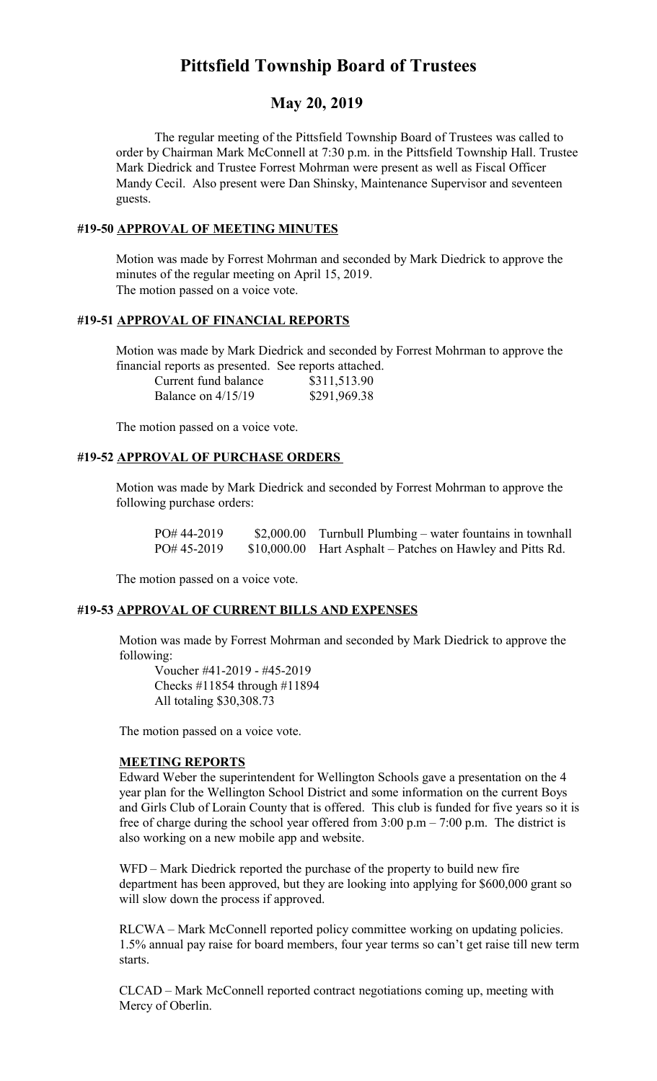# **Pittsfield Township Board of Trustees**

## **May 20, 2019**

The regular meeting of the Pittsfield Township Board of Trustees was called to order by Chairman Mark McConnell at 7:30 p.m. in the Pittsfield Township Hall. Trustee Mark Diedrick and Trustee Forrest Mohrman were present as well as Fiscal Officer Mandy Cecil. Also present were Dan Shinsky, Maintenance Supervisor and seventeen guests.

## **#19-50 APPROVAL OF MEETING MINUTES**

Motion was made by Forrest Mohrman and seconded by Mark Diedrick to approve the minutes of the regular meeting on April 15, 2019. The motion passed on a voice vote.

## **#19-51 APPROVAL OF FINANCIAL REPORTS**

Motion was made by Mark Diedrick and seconded by Forrest Mohrman to approve the financial reports as presented. See reports attached.

| Current fund balance | \$311,513.90 |
|----------------------|--------------|
| Balance on $4/15/19$ | \$291,969.38 |

The motion passed on a voice vote.

#### **#19-52 APPROVAL OF PURCHASE ORDERS**

Motion was made by Mark Diedrick and seconded by Forrest Mohrman to approve the following purchase orders:

PO# 44-2019 \$2,000.00 Turnbull Plumbing – water fountains in townhall PO# 45-2019 \$10,000.00 Hart Asphalt – Patches on Hawley and Pitts Rd.

The motion passed on a voice vote.

#### **#19-53 APPROVAL OF CURRENT BILLS AND EXPENSES**

Motion was made by Forrest Mohrman and seconded by Mark Diedrick to approve the following:

Voucher #41-2019 - #45-2019 Checks #11854 through #11894 All totaling \$30,308.73

The motion passed on a voice vote.

#### **MEETING REPORTS**

Edward Weber the superintendent for Wellington Schools gave a presentation on the 4 year plan for the Wellington School District and some information on the current Boys and Girls Club of Lorain County that is offered. This club is funded for five years so it is free of charge during the school year offered from  $3:00 \text{ p.m} - 7:00 \text{ p.m.}$  The district is also working on a new mobile app and website.

WFD – Mark Diedrick reported the purchase of the property to build new fire department has been approved, but they are looking into applying for \$600,000 grant so will slow down the process if approved.

RLCWA – Mark McConnell reported policy committee working on updating policies. 1.5% annual pay raise for board members, four year terms so can't get raise till new term starts.

CLCAD – Mark McConnell reported contract negotiations coming up, meeting with Mercy of Oberlin.